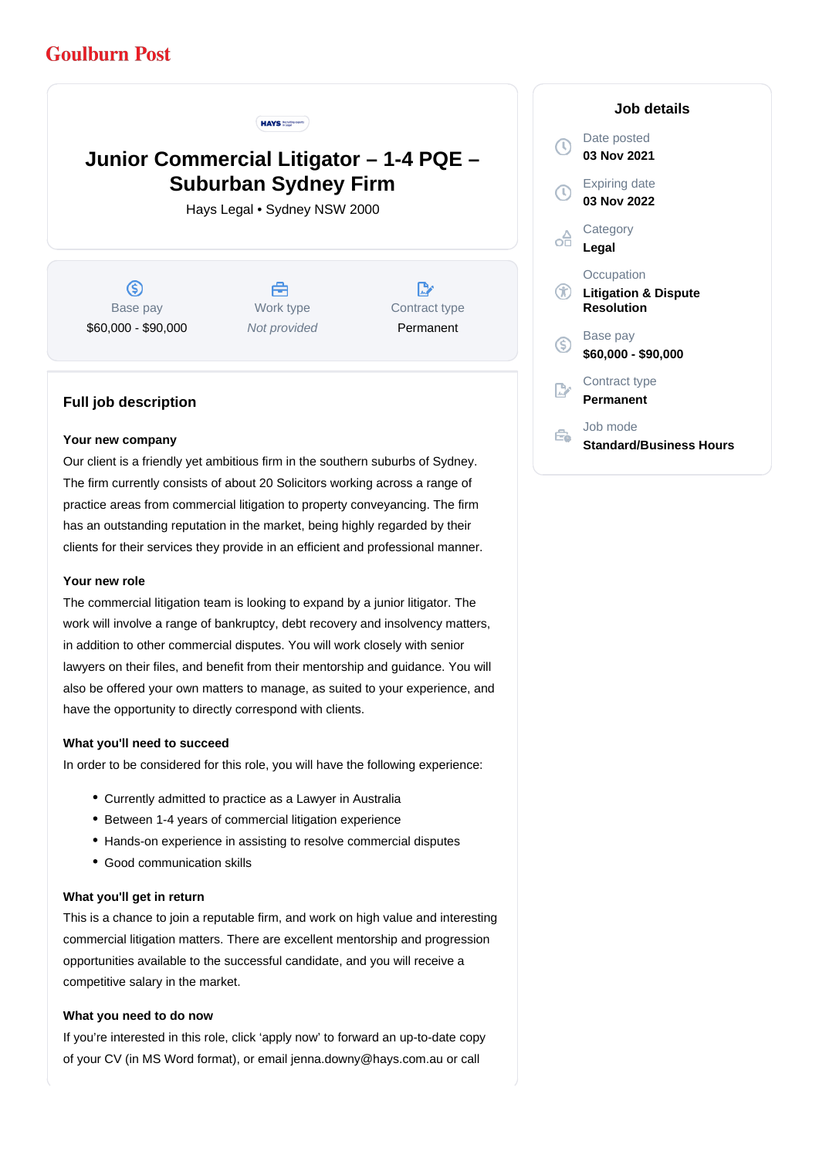# **Goulburn Post**

#### **HAYS Incuting experts**

# **Junior Commercial Litigator – 1-4 PQE – Suburban Sydney Firm**

Hays Legal • Sydney NSW 2000

 $\circledS$ Base pay \$60,000 - \$90,000

合 Work type Not provided

 $\mathbb{R}^*$ Contract type Permanent

### **Full job description**

#### **Your new company**

Our client is a friendly yet ambitious firm in the southern suburbs of Sydney. The firm currently consists of about 20 Solicitors working across a range of practice areas from commercial litigation to property conveyancing. The firm has an outstanding reputation in the market, being highly regarded by their clients for their services they provide in an efficient and professional manner.

#### **Your new role**

The commercial litigation team is looking to expand by a junior litigator. The work will involve a range of bankruptcy, debt recovery and insolvency matters, in addition to other commercial disputes. You will work closely with senior lawyers on their files, and benefit from their mentorship and guidance. You will also be offered your own matters to manage, as suited to your experience, and have the opportunity to directly correspond with clients.

#### **What you'll need to succeed**

In order to be considered for this role, you will have the following experience:

- Currently admitted to practice as a Lawyer in Australia
- Between 1-4 years of commercial litigation experience
- Hands-on experience in assisting to resolve commercial disputes
- Good communication skills

#### **What you'll get in return**

This is a chance to join a reputable firm, and work on high value and interesting commercial litigation matters. There are excellent mentorship and progression opportunities available to the successful candidate, and you will receive a competitive salary in the market.

#### **What you need to do now**

If you're interested in this role, click 'apply now' to forward an up-to-date copy of your CV (in MS Word format), or email jenna.downy@hays.com.au or call

## Date posted Œ **03 Nov 2021** Expiring date **03 Nov 2022 Category** œ **Legal Occupation**  $\circledR$ **Litigation & Dispute Resolution** Base pay <sub>(S)</sub> **\$60,000 - \$90,000** Contract type **Permanent**

Job mode ÷. **Standard/Business Hours**

#### **Job details**